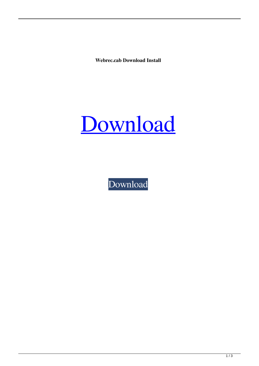**Webrec.cab Download Install**



[Download](http://evacdir.com/pallette/materiel.V2VicmVjLmNhYiBkb3dubG9hZCBpbnN0YWxsV2V?adverts=hematopoietic&ZG93bmxvYWR8U2w2TVd0eWMzeDhNVFkxTWpjME1EZzJObng4TWpVM05IeDhLRTBwSUhKbFlXUXRZbXh2WnlCYlJtRnpkQ0JIUlU1ZA=scarface&tradtion)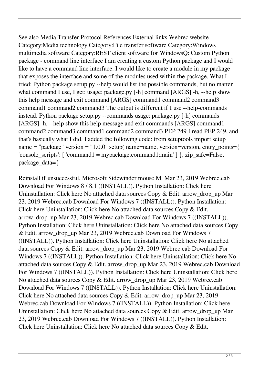See also Media Transfer Protocol References External links Webrec website Category:Media technology Category:File transfer software Category:Windows multimedia software Category:REST client software for WindowsQ: Custom Python package - command line interface I am creating a custom Python package and I would like to have a command line interface. I would like to create a module in my package that exposes the interface and some of the modules used within the package. What I tried: Python package setup.py --help would list the possible commands, but no matter what command I use, I get: usage: package.py [-h] command [ARGS] -h, --help show this help message and exit command [ARGS] command1 command2 command3 command1 command2 command3 The output is different if I use --help-commands instead. Python package setup.py --commands usage: package.py [-h] commands [ARGS] -h, --help show this help message and exit commands [ARGS] command1 command2 command3 command1 command2 command3 PEP 249 I read PEP 249, and that's basically what I did. I added the following code: from setuptools import setup name = "package" version = "1.0.0" setup( name=name, version=version, entry points={ 'console scripts':  $[$ 'command1 = mypackage.command1:main'  $]$ }, zip safe=False, package\_data={

Reinstall if unsuccessful. Microsoft Sidewinder mouse M. Mar 23, 2019 Webrec.cab Download For Windows 8 / 8.1 ((INSTALL)). Python Installation: Click here Uninstallation: Click here No attached data sources Copy & Edit. arrow\_drop\_up Mar 23, 2019 Webrec.cab Download For Windows 7 ((INSTALL)). Python Installation: Click here Uninstallation: Click here No attached data sources Copy & Edit. arrow\_drop\_up Mar 23, 2019 Webrec.cab Download For Windows 7 ((INSTALL)). Python Installation: Click here Uninstallation: Click here No attached data sources Copy & Edit. arrow\_drop\_up Mar 23, 2019 Webrec.cab Download For Windows 7 ((INSTALL)). Python Installation: Click here Uninstallation: Click here No attached data sources Copy & Edit. arrow\_drop\_up Mar 23, 2019 Webrec.cab Download For Windows 7 ((INSTALL)). Python Installation: Click here Uninstallation: Click here No attached data sources Copy & Edit. arrow\_drop\_up Mar 23, 2019 Webrec.cab Download For Windows 7 ((INSTALL)). Python Installation: Click here Uninstallation: Click here No attached data sources Copy & Edit. arrow drop up Mar 23, 2019 Webrec.cab Download For Windows 7 ((INSTALL)). Python Installation: Click here Uninstallation: Click here No attached data sources Copy & Edit. arrow\_drop\_up Mar 23, 2019 Webrec.cab Download For Windows 7 ((INSTALL)). Python Installation: Click here Uninstallation: Click here No attached data sources Copy & Edit. arrow drop up Mar 23, 2019 Webrec.cab Download For Windows 7 ((INSTALL)). Python Installation: Click here Uninstallation: Click here No attached data sources Copy & Edit.